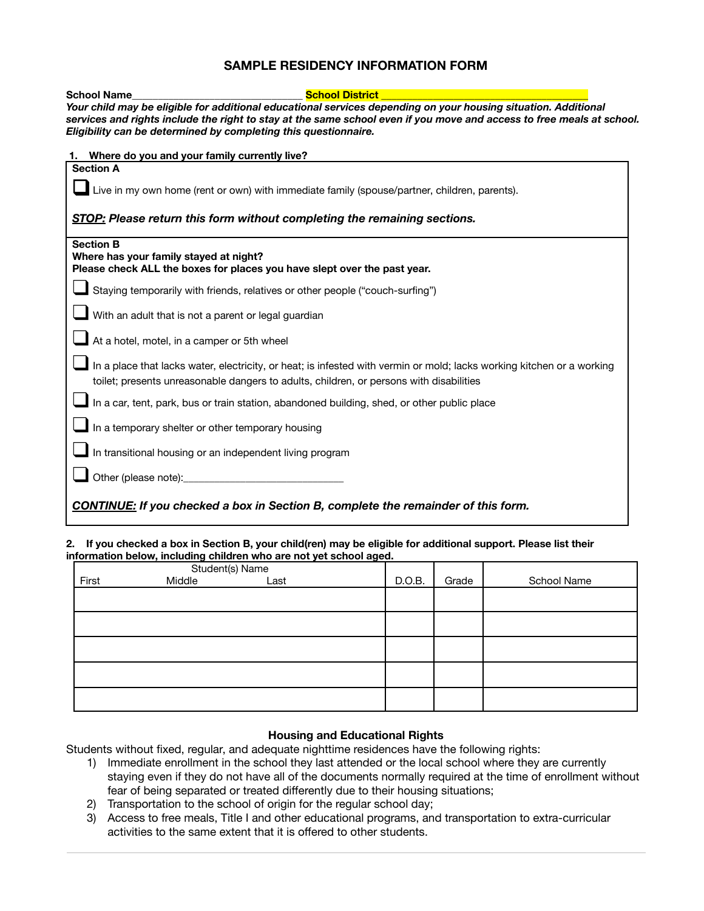## **SAMPLE RESIDENCY INFORMATION FORM**

| <b>School Name</b>                                                                                                                     | <b>School District</b>                                                                                                                                                                                            |
|----------------------------------------------------------------------------------------------------------------------------------------|-------------------------------------------------------------------------------------------------------------------------------------------------------------------------------------------------------------------|
|                                                                                                                                        | Your child may be eligible for additional educational services depending on your housing situation. Additional                                                                                                    |
| Eligibility can be determined by completing this questionnaire.                                                                        | services and rights include the right to stay at the same school even if you move and access to free meals at school.                                                                                             |
| 1. Where do you and your family currently live?                                                                                        |                                                                                                                                                                                                                   |
| <b>Section A</b>                                                                                                                       |                                                                                                                                                                                                                   |
|                                                                                                                                        | Live in my own home (rent or own) with immediate family (spouse/partner, children, parents).                                                                                                                      |
|                                                                                                                                        | STOP: Please return this form without completing the remaining sections.                                                                                                                                          |
| <b>Section B</b><br>Where has your family stayed at night?<br>Please check ALL the boxes for places you have slept over the past year. |                                                                                                                                                                                                                   |
|                                                                                                                                        | Staying temporarily with friends, relatives or other people ("couch-surfing")                                                                                                                                     |
| With an adult that is not a parent or legal guardian                                                                                   |                                                                                                                                                                                                                   |
| At a hotel, motel, in a camper or 5th wheel                                                                                            |                                                                                                                                                                                                                   |
|                                                                                                                                        | In a place that lacks water, electricity, or heat; is infested with vermin or mold; lacks working kitchen or a working<br>toilet; presents unreasonable dangers to adults, children, or persons with disabilities |
|                                                                                                                                        | In a car, tent, park, bus or train station, abandoned building, shed, or other public place                                                                                                                       |
| In a temporary shelter or other temporary housing                                                                                      |                                                                                                                                                                                                                   |
| In transitional housing or an independent living program                                                                               |                                                                                                                                                                                                                   |
|                                                                                                                                        |                                                                                                                                                                                                                   |
|                                                                                                                                        | <b>CONTINUE:</b> If you checked a box in Section B, complete the remainder of this form.                                                                                                                          |

## **2. If you checked a box in Section B, your child(ren) may be eligible for additional support. Please list their information below, including children who are not yet school aged.**

| Student(s) Name |        |      |  |        |       |             |
|-----------------|--------|------|--|--------|-------|-------------|
| First           | Middle | Last |  | D.O.B. | Grade | School Name |
|                 |        |      |  |        |       |             |
|                 |        |      |  |        |       |             |
|                 |        |      |  |        |       |             |
|                 |        |      |  |        |       |             |
|                 |        |      |  |        |       |             |
|                 |        |      |  |        |       |             |
|                 |        |      |  |        |       |             |
|                 |        |      |  |        |       |             |
|                 |        |      |  |        |       |             |
|                 |        |      |  |        |       |             |

## **Housing and Educational Rights**

Students without fixed, regular, and adequate nighttime residences have the following rights:

- 1) Immediate enrollment in the school they last attended or the local school where they are currently staying even if they do not have all of the documents normally required at the time of enrollment without fear of being separated or treated differently due to their housing situations;
- 2) Transportation to the school of origin for the regular school day;
- 3) Access to free meals, Title I and other educational programs, and transportation to extra-curricular activities to the same extent that it is offered to other students.